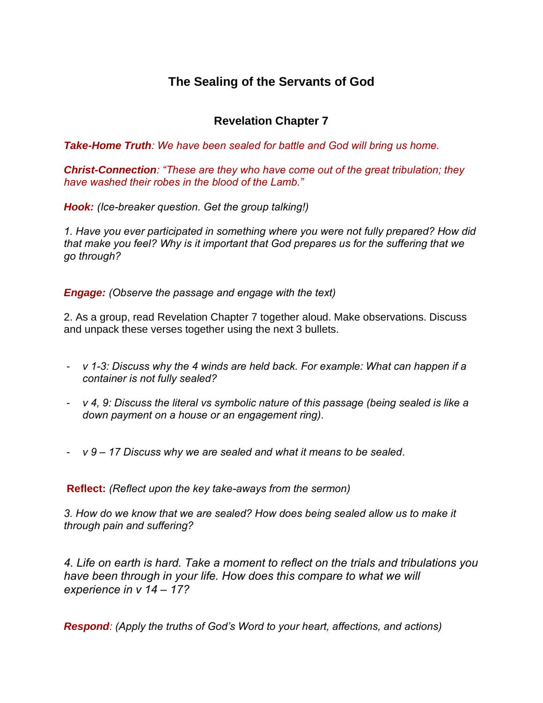## **The Sealing of the Servants of God**

## **Revelation Chapter 7**

*Take-Home Truth: We have been sealed for battle and God will bring us home.*

*Christ-Connection: "These are they who have come out of the great tribulation; they have washed their robes in the blood of the Lamb."*

*Hook: (Ice-breaker question. Get the group talking!)*

*1. Have you ever participated in something where you were not fully prepared? How did that make you feel? Why is it important that God prepares us for the suffering that we go through?*

*Engage: (Observe the passage and engage with the text)*

2. As a group, read Revelation Chapter 7 together aloud. Make observations. Discuss and unpack these verses together using the next 3 bullets.

- *v 1-3: Discuss why the 4 winds are held back. For example: What can happen if a container is not fully sealed?*
- *v 4, 9: Discuss the literal vs symbolic nature of this passage (being sealed is like a down payment on a house or an engagement ring).*
- *v 9 – 17 Discuss why we are sealed and what it means to be sealed.*

**Reflect:** *(Reflect upon the key take-aways from the sermon)*

*3. How do we know that we are sealed? How does being sealed allow us to make it through pain and suffering?* 

*4. Life on earth is hard. Take a moment to reflect on the trials and tribulations you have been through in your life. How does this compare to what we will experience in v 14 – 17?*

*Respond: (Apply the truths of God's Word to your heart, affections, and actions)*